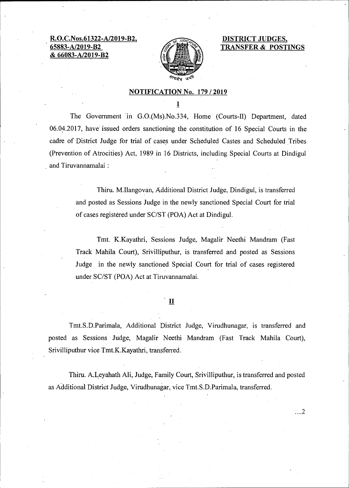**R.O.C.Nos.61322-A/2019-B2, 65883-A/2019-B2 & 66083-A/2019-B2** 



**DISTRICT JUDGES, TRANSFER & POSTINGS** 

 $\dots$  2

## **NOTIFICATION No. 179 / 2019**

I

The Government in G.O.(Ms).No.334, Home (Courts-II) Department, dated 06.04.2017, have issued orders sanctioning the constitution of 16 Special Courts in the cadre of District Judge for trial of cases under Scheduled Castes and Scheduled Tribes (Prevention of Atrocities) Act, 1989 in 16 Districts, including Special Courts at Dindigul and Tiruvannamalai :

> Thiru. M.Ilangovan, Additional District Judge, Dindigul, is transferred and posted as Sessions Judge in the newly sanctioned Special Court for trial of cases registered under SC/ST (POA) Act at Dindigul.

> Tmt. K.Kayathri, Sessions Judge, Magalir Neethi Mandram (Fast Track Mahila Court), Srivilliputhur, is transferred and posted as Sessions Judge in the newly sanctioned Special Court for trial of cases registered under SC/ST (PGA) Act at Tiruvannamalai.

## $\mathbf{I}$

Tmt.S.D.Parimala, Additional District Judge, Virudhunagar, is transferred and posted as Sessions Judge, Magalir Neethi Mandram (Fast Track Mahila Court), Srivilliputhur vice Tmt.K.Kayathri, transferred.

Thiru. A.Leyahath Ali, Judge, Family Court, Srivilliputhur, is transferred and posted as Additional District Judge, Virudhunagar, vice Tmt.S.D.Parimala, transferred.